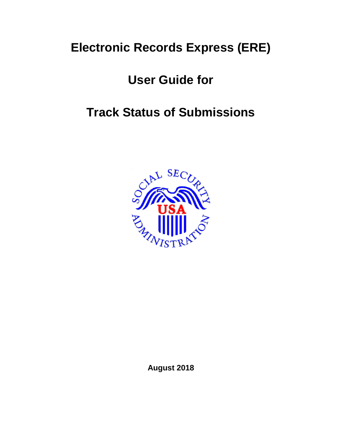# **Electronic Records Express (ERE)**

# **User Guide for**

# **Track Status of Submissions**



**August 2018**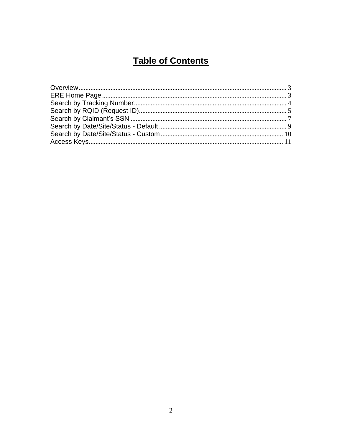# **Table of Contents**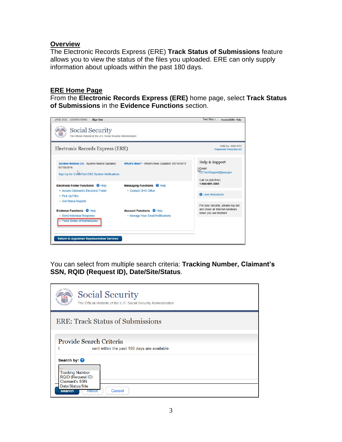### <span id="page-2-0"></span>**Overview**

The Electronic Records Express (ERE) **Track Status of Submissions** feature allows you to view the status of the files you uploaded. ERE can only supply information about uploads within the past 180 days.

#### <span id="page-2-1"></span>**ERE Home Page**

From the **Electronic Records Express (ERE)** home page, select **Track Status of Submissions** in the **Evidence Functions** section.



You can select from multiple search criteria: **Tracking Number, Claimant's SSN, RQID (Request ID), Date/Site/Status**.

| <b>Social Security</b><br>The Official Website of the U.S. Social Security Administration                                                                             |  |  |  |  |  |
|-----------------------------------------------------------------------------------------------------------------------------------------------------------------------|--|--|--|--|--|
| <b>ERE: Track Status of Submissions</b>                                                                                                                               |  |  |  |  |  |
| Provide Search Criteria<br>sent within the past 180 days are available.                                                                                               |  |  |  |  |  |
| Search by: <sup>2</sup><br><b>Tracking Number</b><br><b>RQID (Request ID)</b><br><b>Claimant's SSN</b><br>Date/Status/Site<br>Cancel<br><b>Reset</b><br><b>Search</b> |  |  |  |  |  |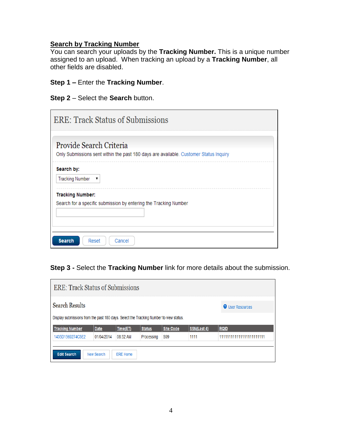#### <span id="page-3-0"></span>**Search by Tracking Number**

You can search your uploads by the **Tracking Number.** This is a unique number assigned to an upload. When tracking an upload by a **Tracking Number**, all other fields are disabled.

#### **Step 1 –** Enter the **Tracking Number**.

**Step 2** – Select the **Search** button.

| <b>ERE: Track Status of Submissions</b>                                                                          |  |
|------------------------------------------------------------------------------------------------------------------|--|
| Provide Search Criteria<br>Only Submissions sent within the past 180 days are available. Customer Status Inquiry |  |
| Search by:                                                                                                       |  |
| <b>Tracking Number</b><br>▼                                                                                      |  |
| <b>Tracking Number:</b><br>Search for a specific submission by entering the Tracking Number                      |  |
| <b>Search</b><br>Reset<br>Cancel                                                                                 |  |

### **Step 3 -** Select the **Tracking Number** link for more details about the submission.

| <b>ERE: Track Status of Submissions</b>                                                                                                                                                                                                                                                                              |  |  |  |  |  |  |  |  |
|----------------------------------------------------------------------------------------------------------------------------------------------------------------------------------------------------------------------------------------------------------------------------------------------------------------------|--|--|--|--|--|--|--|--|
| <b>Search Results</b><br><b>O</b> User Resources                                                                                                                                                                                                                                                                     |  |  |  |  |  |  |  |  |
| Display submissions from the past 180 days. Select the Tracking Number to view status.<br>Site Code<br><b>Status</b><br>SSN(Last 4)<br><b>Tracking Number</b><br>Time(ET)<br><b>RQID</b><br><b>Date</b><br>1435D1569274C5E2<br>11111111111111111111111<br>08:52 AM<br><b>S99</b><br>1111<br>01/04/2014<br>Processing |  |  |  |  |  |  |  |  |
| <b>Edit Search</b><br>New Search<br><b>ERE Home</b>                                                                                                                                                                                                                                                                  |  |  |  |  |  |  |  |  |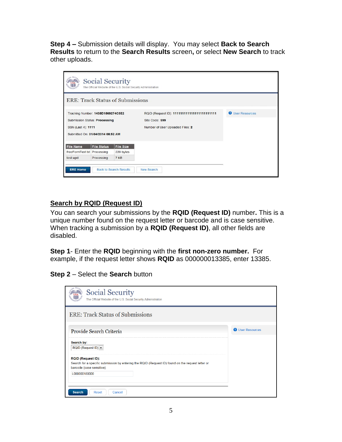**Step 4 –** Submission details will display. You may select **Back to Search Results** to return to the **Search Results** screen**,** or select **New Search** to track other uploads.

| $\triangle$ <sup>SEC<sub>I</sub></sup><br><b>Social Security</b><br>The Official Website of the U.S. Social Security Administration |                                                                    |                               |                                                                |                         |  |  |
|-------------------------------------------------------------------------------------------------------------------------------------|--------------------------------------------------------------------|-------------------------------|----------------------------------------------------------------|-------------------------|--|--|
| <b>ERE: Track Status of Submissions</b>                                                                                             |                                                                    |                               |                                                                |                         |  |  |
|                                                                                                                                     | Tracking Number: 1435D1569274C5E2<br>Submission Status: Processing |                               | RQID (Request ID): 111111111111111111111111<br>Site Code: \$99 | <b>O</b> User Resources |  |  |
| SSN (Last 4): 1111                                                                                                                  | Submitted On: 01/04/2014 08:52 AM                                  |                               | Number of User Uploaded Files: 2                               |                         |  |  |
| <b>File Name</b><br>freeFormText.txt Processing                                                                                     | <b>File Status</b>                                                 | <b>File Size</b><br>220 bytes |                                                                |                         |  |  |
| test.wpd                                                                                                                            | Processing                                                         | 7 KB                          |                                                                |                         |  |  |
| <b>ERE Home</b>                                                                                                                     |                                                                    | <b>Back to Search Results</b> | <b>New Search</b>                                              |                         |  |  |

### <span id="page-4-0"></span>**Search by RQID (Request ID)**

You can search your submissions by the **RQID (Request ID)** number**.** This is a unique number found on the request letter or barcode and is case sensitive. When tracking a submission by a **RQID (Request ID)**, all other fields are disabled.

**Step 1**- Enter the **RQID** beginning with the **first non-zero number.** For example, if the request letter shows **RQID** as 000000013385, enter 13385.

**Step 2** – Select the **Search** button

| <b>Social Security</b><br>The Official Website of the U.S. Social Security Administration                                                                   |                         |
|-------------------------------------------------------------------------------------------------------------------------------------------------------------|-------------------------|
| <b>ERE: Track Status of Submissions</b>                                                                                                                     |                         |
| Provide Search Criteria                                                                                                                                     | <b>O</b> User Resources |
| Search by:<br>RQID (Request ID) ~                                                                                                                           |                         |
| <b>RQID (Request ID):</b><br>Search for a specific submission by entering the RQID (Request ID) found on the request letter or<br>barcode (case sensitive). |                         |
| L000000180000                                                                                                                                               |                         |
| Reset<br><b>Search</b><br>Cancel                                                                                                                            |                         |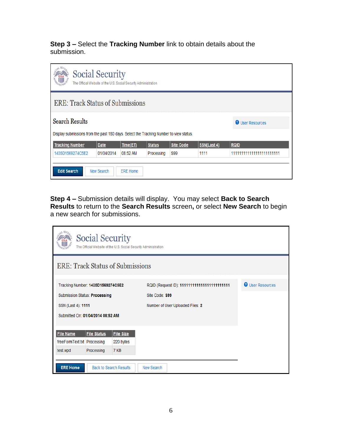**Step 3 –** Select the **Tracking Number** link to obtain details about the submission.

| <b>AN SECK</b><br><b>Social Security</b><br><b>TITIL</b><br>The Official Website of the U.S. Social Security Administration |                                                                                                                   |          |               |                  |             |             |  |
|-----------------------------------------------------------------------------------------------------------------------------|-------------------------------------------------------------------------------------------------------------------|----------|---------------|------------------|-------------|-------------|--|
|                                                                                                                             | <b>ERE: Track Status of Submissions</b>                                                                           |          |               |                  |             |             |  |
| <b>Search Results</b>                                                                                                       | <b>O</b> User Resources<br>Display submissions from the past 180 days. Select the Tracking Number to view status. |          |               |                  |             |             |  |
| <b>Tracking Number</b>                                                                                                      | <b>Date</b>                                                                                                       | Time(ET) | <b>Status</b> | <b>Site Code</b> | SSN(Last 4) | <b>RQID</b> |  |
| 1435D1569274C5E2                                                                                                            | 11111111111111111111111<br><b>S99</b><br>1111<br>01/04/2014<br>08:52 AM<br>Processing                             |          |               |                  |             |             |  |
| <b>Edit Search</b><br>New Search<br><b>ERE Home</b>                                                                         |                                                                                                                   |          |               |                  |             |             |  |

**Step 4 –** Submission details will display. You may select **Back to Search Results** to return to the **Search Results** screen**,** or select **New Search** to begin a new search for submissions.

| <b>Social Security</b><br>The Official Website of the U.S. Social Security Administration |                                                        |                  |                                              |  |                         |  |
|-------------------------------------------------------------------------------------------|--------------------------------------------------------|------------------|----------------------------------------------|--|-------------------------|--|
| <b>ERE: Track Status of Submissions</b>                                                   |                                                        |                  |                                              |  |                         |  |
| Tracking Number: 1435D1569274C5E2                                                         |                                                        |                  | RQID (Request ID): 1111111111111111111111111 |  | <b>O</b> User Resources |  |
|                                                                                           | <b>Submission Status: Processing</b><br>Site Code: S99 |                  |                                              |  |                         |  |
|                                                                                           | SSN (Last 4): 1111<br>Number of User Uploaded Files: 2 |                  |                                              |  |                         |  |
| Submitted On: 01/04/2014 08:52 AM                                                         |                                                        |                  |                                              |  |                         |  |
|                                                                                           |                                                        |                  |                                              |  |                         |  |
| <b>File Name</b>                                                                          | <b>File Status</b>                                     | <b>File Size</b> |                                              |  |                         |  |
| freeFormText.txt Processing                                                               |                                                        | 220 bytes        |                                              |  |                         |  |
| test.wpd                                                                                  | Processing                                             | 7 KB             |                                              |  |                         |  |
| <b>ERE Home</b>                                                                           | <b>Back to Search Results</b>                          |                  | <b>New Search</b>                            |  |                         |  |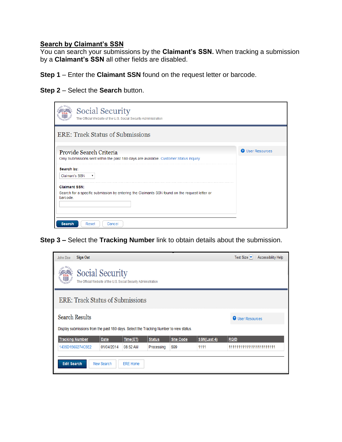#### <span id="page-6-0"></span>**Search by Claimant's SSN**

You can search your submissions by the **Claimant's SSN.** When tracking a submission by a **Claimant's SSN** all other fields are disabled.

**Step 1** – Enter the **Claimant SSN** found on the request letter or barcode.

**Step 2** – Select the **Search** button.

| <b>Social Security</b><br>The Official Website of the U.S. Social Security Administration                        |                         |
|------------------------------------------------------------------------------------------------------------------|-------------------------|
| <b>ERE: Track Status of Submissions</b>                                                                          |                         |
| Provide Search Criteria<br>Only Submissions sent within the past 180 days are available. Customer Status Inquiry | <b>O</b> User Resources |
| Search by:<br><b>Claimant's SSN</b>                                                                              |                         |
| <b>Claimant SSN:</b>                                                                                             |                         |
| Search for a specific submission by entering the Claimants SSN found on the request letter or<br>barcode.        |                         |
| <b>Search</b><br>Reset<br>Cancel                                                                                 |                         |

**Step 3 –** Select the **Tracking Number** link to obtain details about the submission.

| <b>Sign Out</b><br>John Doe                                                               |                         |                 |               |                  |             | Text Size<br><b>Accessibility Help</b> |  |
|-------------------------------------------------------------------------------------------|-------------------------|-----------------|---------------|------------------|-------------|----------------------------------------|--|
| <b>Social Security</b><br>The Official Website of the U.S. Social Security Administration |                         |                 |               |                  |             |                                        |  |
| <b>ERE: Track Status of Submissions</b>                                                   |                         |                 |               |                  |             |                                        |  |
| <b>Search Results</b>                                                                     | <b>O</b> User Resources |                 |               |                  |             |                                        |  |
| Display submissions from the past 180 days. Select the Tracking Number to view status.    |                         |                 |               |                  |             |                                        |  |
| <b>Tracking Number</b>                                                                    | <b>Date</b>             | Time(ET)        | <b>Status</b> | <b>Site Code</b> | SSN(Last 4) | <b>RQID</b>                            |  |
| 1435D1569274C5E2                                                                          | 01/04/2014              | 08:52 AM        | Processing    | <b>S99</b>       | 1111        | 111111111111111111111111               |  |
| <b>Edit Search</b>                                                                        | New Search              | <b>ERE Home</b> |               |                  |             |                                        |  |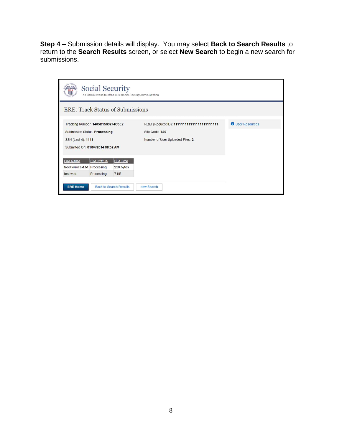**Step 4 –** Submission details will display. You may select **Back to Search Results** to return to the **Search Results** screen**,** or select **New Search** to begin a new search for submissions.

| Social Security<br>The Official Website of the U.S. Social Security Administration |                  |                                                                                                                |                                         |  |  |  |  |
|------------------------------------------------------------------------------------|------------------|----------------------------------------------------------------------------------------------------------------|-----------------------------------------|--|--|--|--|
|                                                                                    |                  |                                                                                                                |                                         |  |  |  |  |
| SSN (Last 4): 1111                                                                 |                  | RQID (Request ID): 111111111111111111111111<br>Site Code: \$99<br>Number of User Uploaded Files: 2             | <b>O</b> User Resources                 |  |  |  |  |
| <b>File Status</b>                                                                 | <b>File Size</b> |                                                                                                                |                                         |  |  |  |  |
| freeFormText.txt Processing                                                        | 220 bytes        |                                                                                                                |                                         |  |  |  |  |
| Processing                                                                         | 7 KB             |                                                                                                                |                                         |  |  |  |  |
|                                                                                    |                  | Tracking Number: 1435D1569274C5E2<br><b>Submission Status: Processing</b><br>Submitted On: 01/04/2014 08:52 AM | <b>ERE: Track Status of Submissions</b> |  |  |  |  |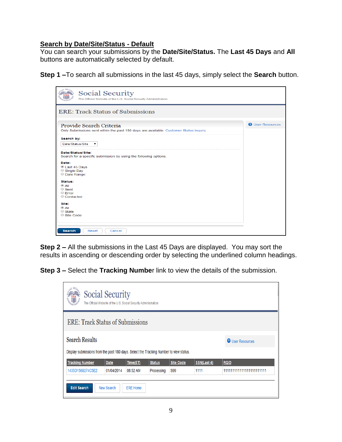#### <span id="page-8-0"></span>**Search by Date/Site/Status - Default**

You can search your submissions by the **Date/Site/Status.** The **Last 45 Days** and **All** buttons are automatically selected by default.

**Step 1 –**To search all submissions in the last 45 days, simply select the **Search** button.

| <b>Social Security</b><br>The Official Website of the U.S. Social Security Administration                        |                         |
|------------------------------------------------------------------------------------------------------------------|-------------------------|
| <b>ERE: Track Status of Submissions</b>                                                                          |                         |
| Provide Search Criteria<br>Only Submissions sent within the past 180 days are available. Customer Status Inquiry | <b>O</b> User Resources |
| Search by:<br>Date/Status/Site<br>$\pmb{\mathrm{v}}$                                                             |                         |
| Date/Status/Site:<br>Search for a specific submission by using the following options.                            |                         |
| Date:<br>Last 45 Days<br>$\circ$ Single Day<br>C Date Range:                                                     |                         |
| Status:<br>$\circledcirc$ All<br>$\circ$ Sent<br>$\circ$ Error<br>Contacted                                      |                         |
| Site:<br>$^{\circledR}$ All<br>$\circ$ State<br>○ Site Code                                                      |                         |
| <b>Search</b><br>Reset<br>Cancel                                                                                 |                         |

**Step 2 –** All the submissions in the Last 45 Days are displayed. You may sort the results in ascending or descending order by selecting the underlined column headings.

**Step 3 –** Select the **Tracking Numbe**r link to view the details of the submission.

| $L$ SEC<br>Social Security<br>The Official Website of the U.S. Social Security Administration                                              |             |          |               |                  |             |                         |  |
|--------------------------------------------------------------------------------------------------------------------------------------------|-------------|----------|---------------|------------------|-------------|-------------------------|--|
| <b>ERE: Track Status of Submissions</b>                                                                                                    |             |          |               |                  |             |                         |  |
| <b>Search Results</b><br><b>O</b> User Resources<br>Display submissions from the past 180 days. Select the Tracking Number to view status. |             |          |               |                  |             |                         |  |
| <b>Tracking Number</b>                                                                                                                     | <b>Date</b> | Time(ET) | <b>Status</b> | <b>Site Code</b> | SSN(Last 4) | <b>RQID</b>             |  |
| 1435D1569274C5E2                                                                                                                           | 01/04/2014  | 08:52 AM | Processing    | <b>S99</b>       | 1111        | 11111111111111111111111 |  |
| <b>Edit Search</b><br>New Search<br><b>ERE Home</b>                                                                                        |             |          |               |                  |             |                         |  |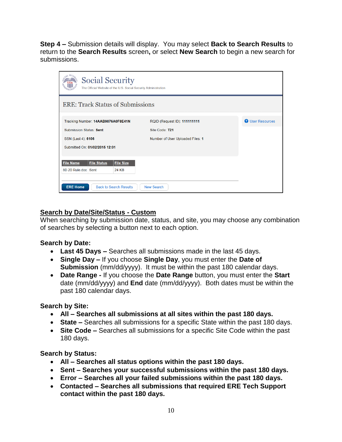**Step 4 –** Submission details will display. You may select **Back to Search Results** to return to the **Search Results** screen**,** or select **New Search** to begin a new search for submissions.

| <b>Social Security</b><br>The Official Website of the U.S. Social Security Administration  |                                  |                         |  |  |  |  |
|--------------------------------------------------------------------------------------------|----------------------------------|-------------------------|--|--|--|--|
| <b>ERE: Track Status of Submissions</b>                                                    |                                  |                         |  |  |  |  |
| Tracking Number: 14AAB9876A0F8E41N                                                         | RQID (Request ID): 111111111     | <b>O</b> User Resources |  |  |  |  |
| <b>Submission Status: Sent</b>                                                             | Site Code: T21                   |                         |  |  |  |  |
| SSN (Last 4): 6106                                                                         | Number of User Uploaded Files: 1 |                         |  |  |  |  |
| Submitted On: 01/02/2015 12:01                                                             |                                  |                         |  |  |  |  |
| <b>File Status</b><br><b>File Size</b><br><b>File Name</b><br>80-20 Rule.doc Sent<br>24 KB |                                  |                         |  |  |  |  |
| <b>ERE Home</b><br><b>Back to Search Results</b><br><b>New Search</b>                      |                                  |                         |  |  |  |  |

### <span id="page-9-0"></span>**Search by Date/Site/Status - Custom**

When searching by submission date, status, and site, you may choose any combination of searches by selecting a button next to each option.

### **Search by Date:**

- **Last 45 Days –** Searches all submissions made in the last 45 days.
- **Single Day –** If you choose **Single Day**, you must enter the **Date of Submission** (mm/dd/yyyy). It must be within the past 180 calendar days.
- **Date Range** If you choose the **Date Range** button, you must enter the **Start** date (mm/dd/yyyy) and **End** date (mm/dd/yyyy). Both dates must be within the past 180 calendar days.

### **Search by Site:**

- **All Searches all submissions at all sites within the past 180 days.**
- **State –** Searches all submissions for a specific State within the past 180 days.
- **Site Code –** Searches all submissions for a specific Site Code within the past 180 days.

### **Search by Status:**

- **All Searches all status options within the past 180 days.**
- **Sent Searches your successful submissions within the past 180 days.**
- **Error Searches all your failed submissions within the past 180 days.**
- **Contacted Searches all submissions that required ERE Tech Support contact within the past 180 days.**